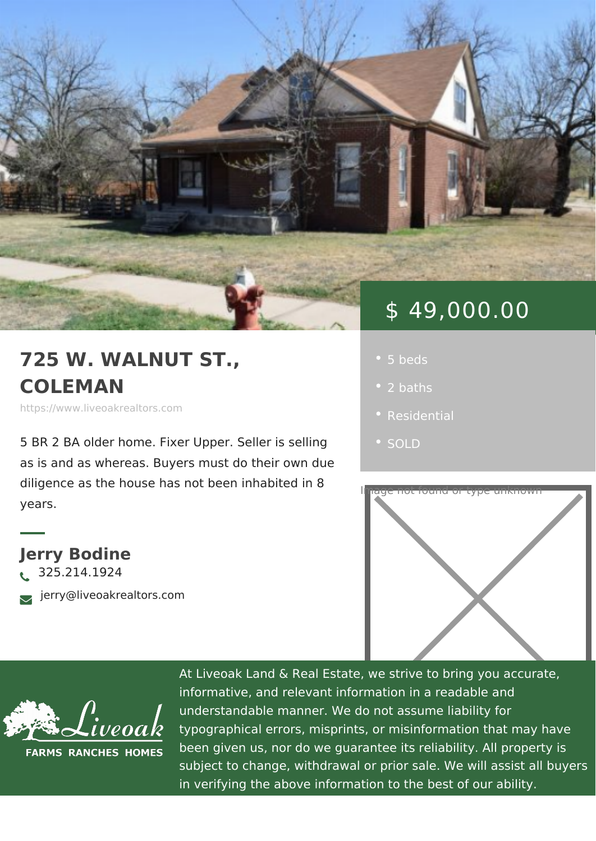## \$ 49,000.00

- 
- 2 baths
- 
- · SOLD



https://www.liveoakrealtors.com

5 BR 2 BA older home. Fixer Upper. Sel as is and as whereas. Buyers must do t

diligence as the house has not been inhabited in 8 years.

Jerry Bodine ð• 325.214.1924 ðà jerry@liveoakrealtors.com



At Liveoak Land & Real Estate, we strive to brin informative, and relevant information in a reada understandable manner. We do not assume liabil typographical errors, misprints, or misinformatic been given us, nor do we guarantee its reliabilit subject to change, withdrawal or prior sale. We in verifying the above information to the best of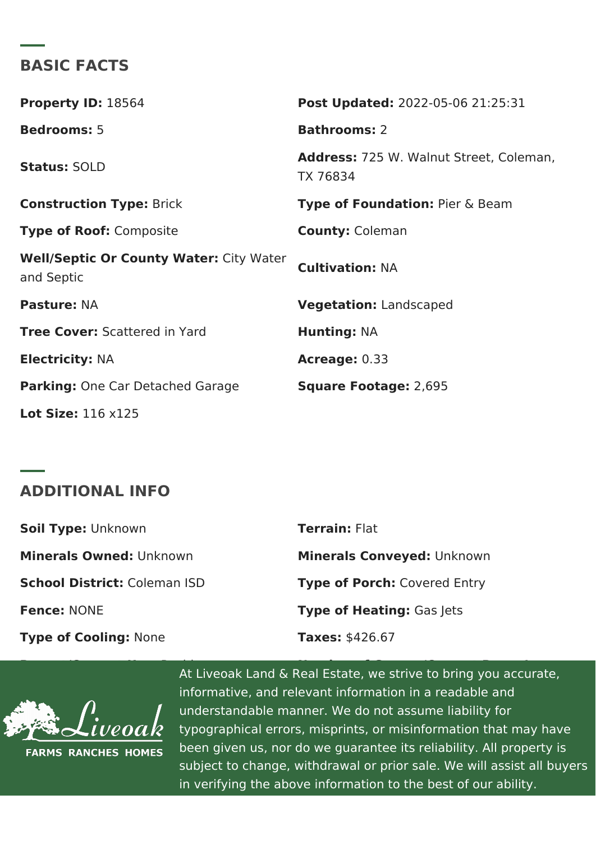BASIC FACTS

| Property ID 8564                                                    | Post Update @022-05-06 21:25:31               |
|---------------------------------------------------------------------|-----------------------------------------------|
| Bedrooms5                                                           | Bathrooms2                                    |
| StatusSOLD                                                          | Address725 W. Walnut Street, Cole<br>TX 76834 |
| Construction TyBeick                                                | Type of FoundatiBiner & Beam                  |
| Type of Roodomposite                                                | County Coleman                                |
| Well/Septic Or County Waiteyr: Water Cultivation N: A<br>and Septic |                                               |
| PastureNA                                                           | VegetationLandscaped                          |
| Tree CoveS:cattered in Yard                                         | Hunting NA                                    |
| Electricit N:A                                                      | Acreage0.33                                   |
| Parking One Car Detached GarageSquare Footag2e,:695                 |                                               |
| Lot Size1:16 $x125$                                                 |                                               |

ADDITIONAL INFO

| Soil TypeLnknown          | TerrainFlat                 |
|---------------------------|-----------------------------|
| Minerals OwneldInknown    | Minerals Convey both: known |
| School Districtaleman ISD | Type of PorcCovered Entry   |
| Fence NONE                | Type of HeatinGgas Jets     |
| Type of CoolinNgp:ne      | Taxes\$426.67               |

Recent/Current Use: Residence Number of Garage/Carport Bays: 1 At Liveoak Land & Real Estate, we strive to bring you accurate, informative, and relevant information in a readal  $\sim$ understandable manner. We do not assume liabil typographical errors, misprints, or misinformatic been given us, nor do we guarantee its reliabilit subject to change, withdrawal or prior sale. We in verifying the above information to the best of